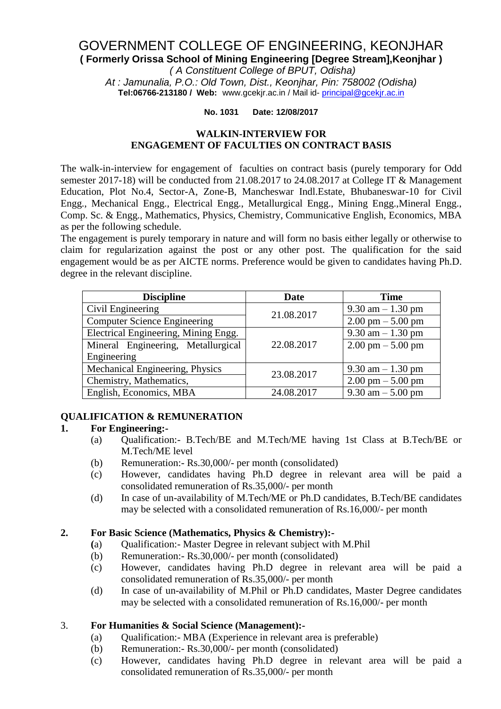# GOVERNMENT COLLEGE OF ENGINEERING, KEONJHAR **( Formerly Orissa School of Mining Engineering [Degree Stream],Keonjhar )** *( A Constituent College of BPUT, Odisha)*

*At : Jamunalia, P.O.: Old Town, Dist., Keonjhar, Pin: 758002 (Odisha)* **Tel:06766-213180 / Web:** [www.gcekjr.ac.in](http://www.gcekjr.ac.in/) / Mail id- [principal@gcekjr.ac.in](mailto:principal@gcekjr.ac.in)

#### **No. 1031 Date: 12/08/2017**

#### **WALKIN-INTERVIEW FOR ENGAGEMENT OF FACULTIES ON CONTRACT BASIS**

The walk-in-interview for engagement of faculties on contract basis (purely temporary for Odd semester 2017-18) will be conducted from 21.08.2017 to 24.08.2017 at College IT & Management Education, Plot No.4, Sector-A, Zone-B, Mancheswar Indl.Estate, Bhubaneswar-10 for Civil Engg., Mechanical Engg., Electrical Engg., Metallurgical Engg., Mining Engg., Mineral Engg., Comp. Sc. & Engg., Mathematics, Physics, Chemistry, Communicative English, Economics, MBA as per the following schedule.

The engagement is purely temporary in nature and will form no basis either legally or otherwise to claim for regularization against the post or any other post. The qualification for the said engagement would be as per AICTE norms. Preference would be given to candidates having Ph.D. degree in the relevant discipline.

| <b>Discipline</b>                    | <b>Date</b> | <b>Time</b>                         |
|--------------------------------------|-------------|-------------------------------------|
| Civil Engineering                    | 21.08.2017  | $9.30$ am $-1.30$ pm                |
| <b>Computer Science Engineering</b>  |             | $2.00 \text{ pm} - 5.00 \text{ pm}$ |
| Electrical Engineering, Mining Engg. |             | $9.30$ am $-1.30$ pm                |
| Mineral Engineering, Metallurgical   | 22.08.2017  | $2.00 \text{ pm} - 5.00 \text{ pm}$ |
| Engineering                          |             |                                     |
| Mechanical Engineering, Physics      | 23.08.2017  | $9.30$ am $-1.30$ pm                |
| Chemistry, Mathematics,              |             | $2.00 \text{ pm} - 5.00 \text{ pm}$ |
| English, Economics, MBA              | 24.08.2017  | 9.30 am $-$ 5.00 pm                 |

## **QUALIFICATION & REMUNERATION**

## **1. For Engineering:-**

- (a) Qualification:- B.Tech/BE and M.Tech/ME having 1st Class at B.Tech/BE or M.Tech/ME level
- (b) Remuneration:- Rs.30,000/- per month (consolidated)
- (c) However, candidates having Ph.D degree in relevant area will be paid a consolidated remuneration of Rs.35,000/- per month
- (d) In case of un-availability of M.Tech/ME or Ph.D candidates, B.Tech/BE candidates may be selected with a consolidated remuneration of Rs.16,000/- per month

## **2. For Basic Science (Mathematics, Physics & Chemistry):-**

- **(**a) Qualification:- Master Degree in relevant subject with M.Phil
- (b) Remuneration:- Rs.30,000/- per month (consolidated)
- (c) However, candidates having Ph.D degree in relevant area will be paid a consolidated remuneration of Rs.35,000/- per month
- (d) In case of un-availability of M.Phil or Ph.D candidates, Master Degree candidates may be selected with a consolidated remuneration of Rs.16,000/- per month

## 3. **For Humanities & Social Science (Management):-**

- (a) Qualification:- MBA (Experience in relevant area is preferable)
- (b) Remuneration:- Rs.30,000/- per month (consolidated)
- (c) However, candidates having Ph.D degree in relevant area will be paid a consolidated remuneration of Rs.35,000/- per month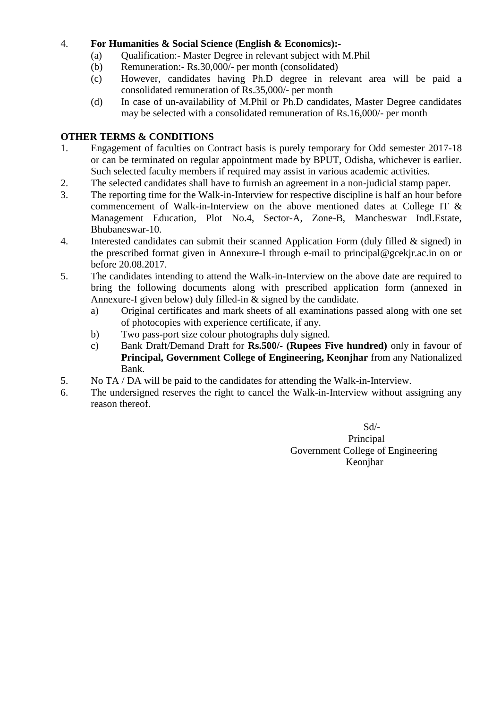# 4. **For Humanities & Social Science (English & Economics):-**

- (a) Qualification:- Master Degree in relevant subject with M.Phil
- (b) Remuneration:- Rs.30,000/- per month (consolidated)
- (c) However, candidates having Ph.D degree in relevant area will be paid a consolidated remuneration of Rs.35,000/- per month
- (d) In case of un-availability of M.Phil or Ph.D candidates, Master Degree candidates may be selected with a consolidated remuneration of Rs.16,000/- per month

# **OTHER TERMS & CONDITIONS**

- 1. Engagement of faculties on Contract basis is purely temporary for Odd semester 2017-18 or can be terminated on regular appointment made by BPUT, Odisha, whichever is earlier. Such selected faculty members if required may assist in various academic activities.
- 2. The selected candidates shall have to furnish an agreement in a non-judicial stamp paper.
- 3. The reporting time for the Walk-in-Interview for respective discipline is half an hour before commencement of Walk-in-Interview on the above mentioned dates at College IT & Management Education, Plot No.4, Sector-A, Zone-B, Mancheswar Indl.Estate, Bhubaneswar-10.
- 4. Interested candidates can submit their scanned Application Form (duly filled & signed) in the prescribed format given in Annexure-I through e-mail to principal@gcekjr.ac.in on or before 20.08.2017.
- 5. The candidates intending to attend the Walk-in-Interview on the above date are required to bring the following documents along with prescribed application form (annexed in Annexure-I given below) duly filled-in & signed by the candidate.
	- a) Original certificates and mark sheets of all examinations passed along with one set of photocopies with experience certificate, if any.
	- b) Two pass-port size colour photographs duly signed.
	- c) Bank Draft/Demand Draft for **Rs.500/- (Rupees Five hundred)** only in favour of **Principal, Government College of Engineering, Keonjhar** from any Nationalized Bank.
- 5. No TA / DA will be paid to the candidates for attending the Walk-in-Interview.
- 6. The undersigned reserves the right to cancel the Walk-in-Interview without assigning any reason thereof.

Sd/- Principal Government College of Engineering Keonjhar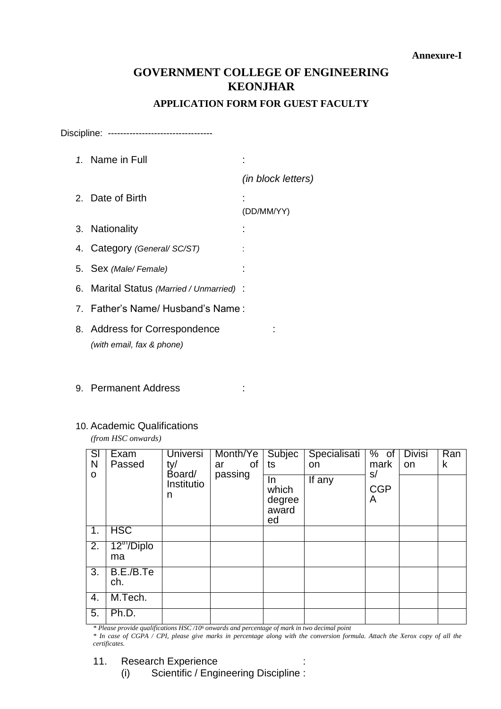# **GOVERNMENT COLLEGE OF ENGINEERING KEONJHAR**

## **APPLICATION FORM FOR GUEST FACULTY**

Discipline: ---------------------------------

| 1. Name in Full                                            |                    |
|------------------------------------------------------------|--------------------|
|                                                            | (in block letters) |
| 2. Date of Birth                                           | (DD/MM/YY)         |
| 3. Nationality                                             |                    |
| 4. Category (General/ SC/ST)                               |                    |
| 5. Sex (Male/Female)                                       |                    |
| 6. Marital Status (Married / Unmarried) :                  |                    |
| 7. Father's Name/Husband's Name:                           |                    |
| 8. Address for Correspondence<br>(with email, fax & phone) |                    |

9. Permanent Address : :

#### 10. Academic Qualifications

*(from HSC onwards)*

| $\overline{\mathsf{SI}}$<br>N<br>$\mathbf O$ | Exam<br>Passed               | <b>Universi</b><br>ty/<br>Board/<br>Institutio<br>n | Month/Ye<br>0f<br>ar<br>passing | Subjec<br>ts<br>In.<br>which<br>degree<br>award<br>ed | Specialisati<br>on<br>If $\overline{a}$ ny | % of<br>mark<br>s/<br><b>CGP</b><br>A | <b>Divisi</b><br>on | Ran<br>k |
|----------------------------------------------|------------------------------|-----------------------------------------------------|---------------------------------|-------------------------------------------------------|--------------------------------------------|---------------------------------------|---------------------|----------|
| 1.                                           | <b>HSC</b>                   |                                                     |                                 |                                                       |                                            |                                       |                     |          |
| $\overline{2}$ .                             | 12 <sup>m</sup> /Diplo<br>ma |                                                     |                                 |                                                       |                                            |                                       |                     |          |
| 3.                                           | B.E./B.Te<br>ch.             |                                                     |                                 |                                                       |                                            |                                       |                     |          |
| 4.                                           | M.Tech.                      |                                                     |                                 |                                                       |                                            |                                       |                     |          |
| 5.                                           | Ph.D.                        |                                                     |                                 |                                                       |                                            |                                       |                     |          |

*\* Please provide qualifications HSC /10th onwards and percentage of mark in two decimal point*

*\* In case of CGPA / CPI, please give marks in percentage along with the conversion formula. Attach the Xerox copy of all the certificates.*

11. Research Experience : the state of the state of the state of the state of the state of the state of the state of the state of the state of the state of the state of the state of the state of the state of the state of t

(i) Scientific / Engineering Discipline :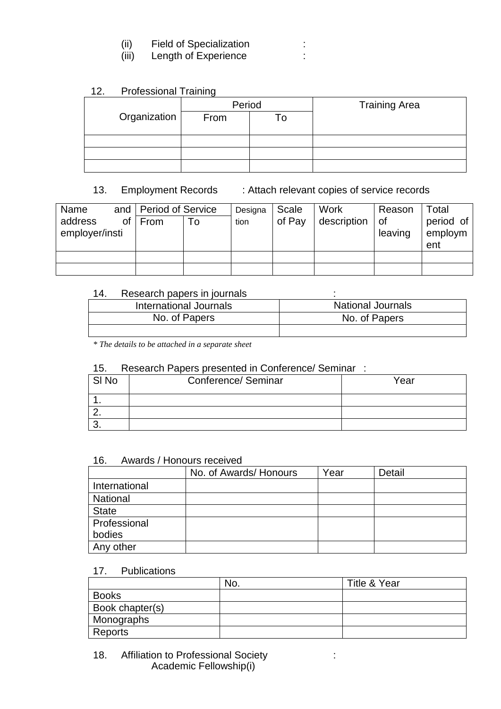| <b>Field of Specialization</b> |
|--------------------------------|
|                                |

(iii) Length of Experience :

# 12. Professional Training

|              | Period |  | <b>Training Area</b> |  |  |  |
|--------------|--------|--|----------------------|--|--|--|
| Organization | From   |  |                      |  |  |  |
|              |        |  |                      |  |  |  |
|              |        |  |                      |  |  |  |
|              |        |  |                      |  |  |  |
|              |        |  |                      |  |  |  |

# 13. Employment Records : Attach relevant copies of service records

| Name                      |    | and   Period of Service |    | Designa | Scale  | Work        | Reason        | Total                |
|---------------------------|----|-------------------------|----|---------|--------|-------------|---------------|----------------------|
| address<br>employer/insti | of | From                    | To | tion    | of Pay | description | 0f<br>leaving | period of<br>employm |
|                           |    |                         |    |         |        |             |               | ent                  |
|                           |    |                         |    |         |        |             |               |                      |
|                           |    |                         |    |         |        |             |               |                      |

## 14. Research papers in journals :

| International Journals | <b>National Journals</b> |
|------------------------|--------------------------|
| No. of Papers          | No. of Papers            |
|                        |                          |

*\* The details to be attached in a separate sheet* 

# 15. Research Papers presented in Conference/ Seminar :

| SI No | Conference/ Seminar | Year |
|-------|---------------------|------|
|       |                     |      |
| - -   |                     |      |
|       |                     |      |

#### 16. Awards / Honours received

|                 | No. of Awards/ Honours | Year | Detail |
|-----------------|------------------------|------|--------|
| International   |                        |      |        |
| <b>National</b> |                        |      |        |
| <b>State</b>    |                        |      |        |
| Professional    |                        |      |        |
| bodies          |                        |      |        |
| Any other       |                        |      |        |

#### 17. Publications

|                 | No. | Title & Year |
|-----------------|-----|--------------|
| <b>Books</b>    |     |              |
| Book chapter(s) |     |              |
| Monographs      |     |              |
| Reports         |     |              |

18. Affiliation to Professional Society : Academic Fellowship(i)